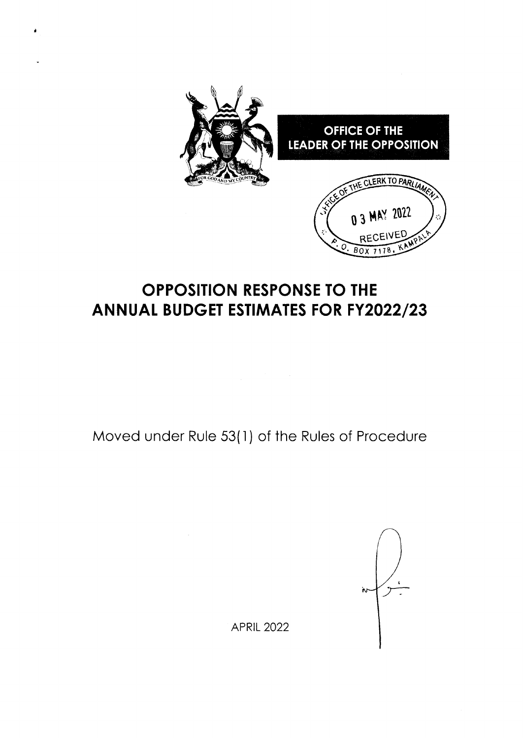

# OPPOSITION RESPONSE TO THE ANNUAL BUDGET ESTIMATES FOR FY2022/23

t

Moved under Rule 53(1) of the Rules of Procedure

'n.

APRIL 2022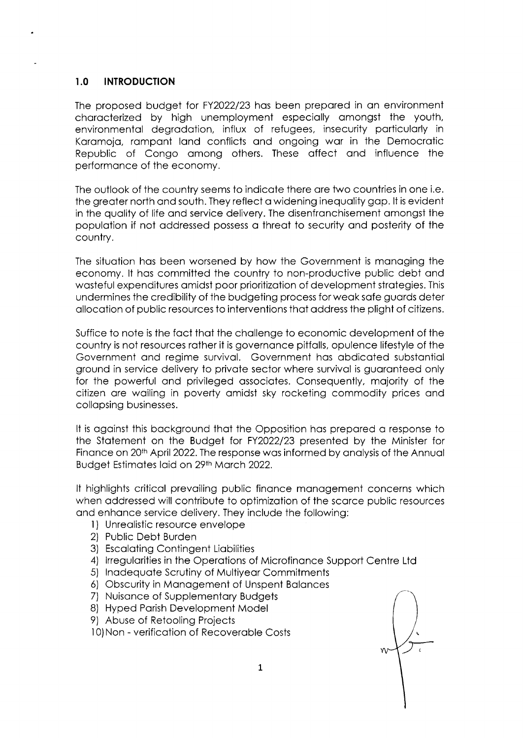### I.O INTRODUCTION

The proposed budget for FY2022/23 hos been prepored in on environment chorocterized by high unemployment especiolly omongst the youth, environmentol degrodotion, influx of refugees, insecurity porticulorly in Karamoja, rampant land conflicts and ongoing war in the Democratic Republic of Congo omong others. These offect ond influence the performonce of the economy.

The outlook of the country seems to indicote there ore two countries in one i.e. the greoter north ond south. They reflect o widening inequolity gop. lt is evident in the quolity of life ond service delivery. The disenfronchisement omongst the populotion if not oddressed possess o threot to security ond posterity of the country.

The situotion hos been worsened by how the Government is monoging the economy. lt hos committed the country to non-productive public debt ond wosteful expenditures omidst poor prioritizotion of development strotegies. This undermines the credibility of the budgeting process for weok sofe guords deter ollocotion of public resources to interventions thot oddress the plight of citizens.

Suffice to note is the foct thot the chollenge to economic development of the country is not resources rother it is governonce pitfolls, opulence lifestyle of the Government ond regime survivol. Government hos obdicoted substontiol ground in service delivery to private sector where survival is guaranteed only for the powerful ond privileged ossociotes. Consequently, mojority of the citizen ore woiling in poverty omidst sky rocketing commodity prices ond collopsing businesses.

It is against this background that the Opposition has prepared a response to the Stotement on the Budget for FY2O22/23 presented by the Minister for Finance on 20<sup>th</sup> April 2022. The response was informed by analysis of the Annual Budget Estimates laid on 29th March 2022.

It highlights critical prevailing public finance management concerns which when oddressed will contribute to optimizotion of the scorce public resources and enhance service delivery. They include the following:

- l) Unreolistic resource envelope
- 2) Public Debt Burden
- 3) Escalating Contingent Liabilities
- 4) Irregularities in the Operations of Microfinance Support Centre Ltd
- 5) Inadequate Scrutiny of Multiyear Commitments
- 6) Obscurity in Management of Unspent Balances
- 7) Nuisonce of Supplementory Budgets
- 8) Hyped Porish Development Model
- 9) Abuse of Retooling Projects

1O)Non - verificotion of Recoveroble Costs

W۳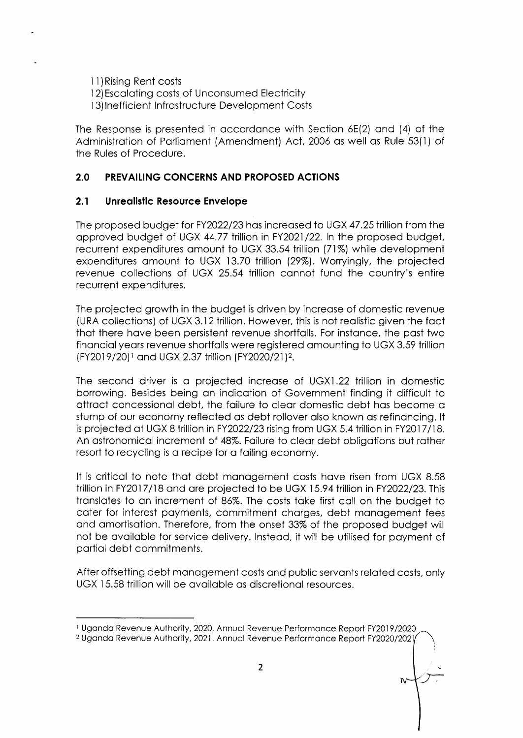<sup>1</sup>1)Rising Rent costs <sup>I</sup>2)Escoloting costs of Unconsumed Electricity <sup>1</sup>3) lnefficient lnfrostructure Development Costs

The Response is presented in accordance with Section 6E(2) and (4) of the Administration of Parliament (Amendment) Act, 2006 as well as Rule 53(1) of the Rules of Procedure.

# 2.0 PREVAILING CONCERNS AND PROPOSED ACTIONS

# 2.1 Unrealistic Resource Envelope

The proposed budget for FY2O22|23 hos increosed to UGX 47.25 trillion from the opproved budget of UGX 44.77 trillion in FY2O2\122. ln the proposed budget, recurrent expenditures omount to UGX 33.54 trillion (71%) while development expenditures omount to UGX 13.70 trillion 129%). Worryingly, the projected revenue collections of UGX 25.54 trillion connot fund the country's entire recurrent expenditures.

The projected growth in the budget is driven by increase of domestic revenue (URA collections) of UGX 3.12 trillion. However, this is not reolistic given the foct thot there hove been persistent revenue shortfolls. For instonce, the post two finonciolyeors revenue shortfolls were registered qmounting to UGX 3.59 trillion (FY20l 9 /20) I ond UGX 2.37 trillion lFY2020/21)2.

The second driver is o projected increose of UGXI .22 trillion in domestic borrowing. Besides being on indicotion of Government finding it difficult to ottroct concessionol debt, the foilure to cleor domestic debt hos become o stump of our economy reflected as debt rollover also known as refinancing. It is projected ot UGX 8 trillion in FY2022/23 rising from UGX 5.4 trillion in FY2017 /18. An ostronomicol increment of 48%. Foilure to cleor debt obligotions but rother resort to recycling is a recipe for a failing economy.

It is critical to note that debt management costs have risen from UGX 8.58 trillion in FY2017/18 and are projected to be UGX 15.94 trillion in FY2022/23. This translates to an increment of 86%. The costs take first call on the budget to cater for interest payments, commitment charges, debt management fees and amortisation. Therefore, from the onset 33% of the proposed budget will not be ovoiloble for service delivery. lnsteod, it will be utilised for poyment of portiol debt commitments.

After offsetting debt monogement costs ond public servonts reloted costs, only UGX 15.58 trillion will be ovoiloble os discretionol resources.

t Ugondo Revenue Authority, 2020. Annuol Revenue Performonce Reporl FY2019/2020

<sup>&</sup>lt;sup>2</sup> Uganda Revenue Authority, 2021. Annual Revenue Performance Report FY2020/2021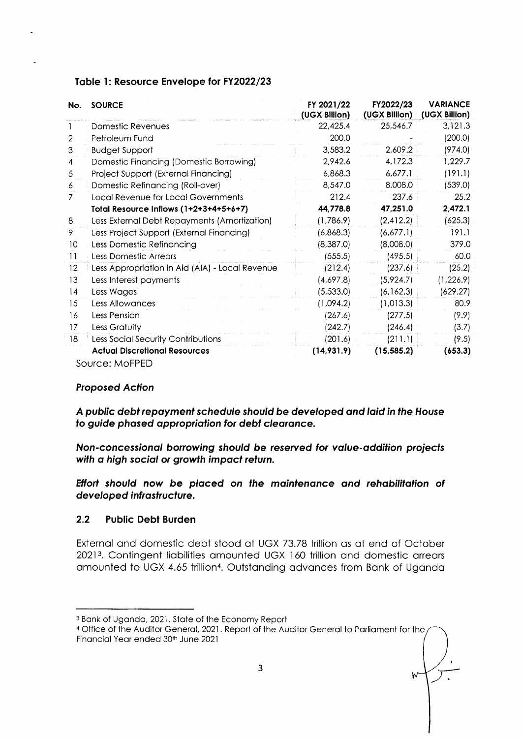| No. | <b>SOURCE</b>                                   | FY 2021/22<br>(UGX Billion) | FY2022/23<br>(UGX Billion) | <b>VARIANCE</b><br>(UGX Billion) |
|-----|-------------------------------------------------|-----------------------------|----------------------------|----------------------------------|
|     | Domestic Revenues                               | 22,425.4                    | 25,546.7                   | 3,121.3                          |
| 2   | Petroleum Fund                                  | 200.0                       |                            | (200.0)                          |
| 3   | <b>Budget Support</b>                           | 3,583.2                     | 2,609.2                    | (974.0)                          |
| 4   | Domestic Financing (Domestic Borrowing)         | 2,942.6                     | 4,172.3                    | 1,229.7                          |
| 5   | Project Support (External Financing)            | 6,868.3                     | 6,677.1                    | (191.1)                          |
| 6   | Domestic Refinancing (Roll-over)                | 8,547.0                     | 8,008.0                    | (539.0)                          |
| 7   | Local Revenue for Local Governments             | 212.4                       | 237.6                      | 25.2                             |
|     | Total Resource Inflows (1+2+3+4+5+6+7)          | 44,778.8                    | 47,251.0                   | 2,472.1                          |
| 8   | Less External Debt Repayments (Amortization)    | (1,786.9)                   | (2,412.2)                  | (625.3)                          |
| 9   | Less Project Support (External Financing)       | (6,868.3)                   | (6,677.1)                  | 191.1                            |
| 10  | Less Domestic Refinancing                       | (8,387.0)                   | (8,008.0)                  | 379.0                            |
| 11  | Less Domestic Arrears                           | (555.5)                     | (495.5)                    | 60.0                             |
| 12  | Less Appropriation in Aid (AIA) - Local Revenue | (212.4)                     | (237.6)                    | (25.2)                           |
| 13  | Less Interest payments                          | (4,697.8)                   | (5,924.7)                  | (1,226.9)                        |
| 14  | Less Wages                                      | (5,533.0)                   | (6, 162.3)                 | (629.27)                         |
| 15  | Less Allowances                                 | (1,094.2)                   | (1,013.3)                  | 80.9                             |
| 16  | Less Pension                                    | (267.6)                     | (277.5)                    | (9.9)                            |
| 17  | Less Gratuity                                   | (242.7)                     | (246.4)                    | (3.7)                            |
| 18  | Less Social Security Contributions              | (201.6)                     | (211.1)                    | (9.5)                            |
|     | <b>Actual Discretional Resources</b>            | (14, 931.9)                 | (15, 585.2)                | (653.3)                          |
|     | Source: MoFPED                                  |                             |                            |                                  |

# Table 1: Resource Envelope for FY2022/23

### **Proposed Action**

A public debt repayment schedule should be developed and laid in the House to guide phased appropriation for debt clearance.

Non-concessional borrowing should be reserved for value-addition projects with a high social or growth impact return.

Effort should now be placed on the maintenance and rehabilitation of developed infrastructure.

#### $2.2$ **Public Debt Burden**

External and domestic debt stood at UGX 73.78 trillion as at end of October 20213. Contingent liabilities amounted UGX 160 trillion and domestic arrears amounted to UGX 4.65 trillion<sup>4</sup>. Outstanding advances from Bank of Uganda

<sup>&</sup>lt;sup>3</sup> Bank of Uganda, 2021. State of the Economy Report

<sup>&</sup>lt;sup>4</sup> Office of the Auditor General, 2021. Report of the Auditor General to Parliament for the Financial Year ended 30th June 2021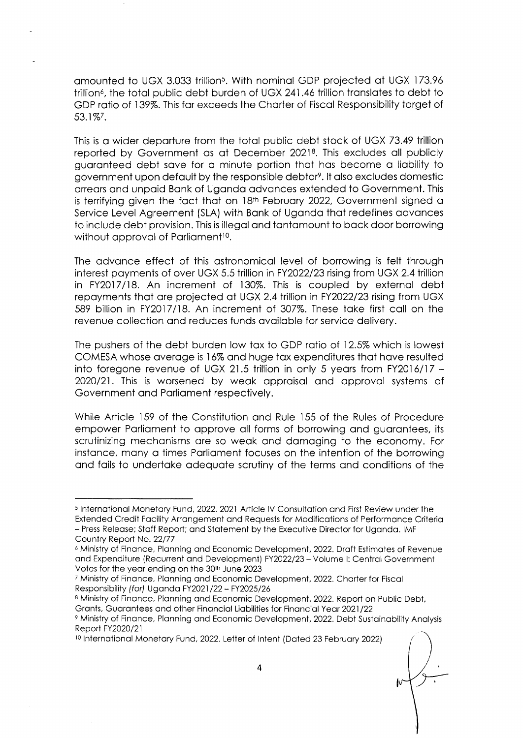amounted to UGX 3.033 trillion<sup>5</sup>. With nominal GDP projected at UGX 173.96 trillion<sup>6</sup>, the total public debt burden of UGX 241.46 trillion translates to debt to GDP rotio of 139%. This for exceeds the Chorter of Fiscol Responsibility torget of 53.1%7.

This is o wider deporture from the totol public debt stock of UGX 73.49 trillion reported by Government as at December 2021<sup>8</sup>. This excludes all publicly guoronteed debt sove for o minute portion thot hos become o liobility to government upon default by the responsible debtor<sup>9</sup>. It also excludes domestic orreors ond unpoid Bonk of Ugondo odvonces extended to Government. This is terrifying given the fact that on 18<sup>th</sup> February 2022, Government signed a Service Level Agreement (SLA) with Bank of Uganda that redefines advances to include debt provision. This is illegal and tantamount to back door borrowing without approval of Parliament<sup>10</sup>.

The odvonce effect of this ostronomicol level of borrowing is felt through interest poyments of over UGX 5.5 trillion in FY2O22/23 rising from UGX 2.4 trillion in FY2017118. An increment of 13O%. This is coupled by externol debt repoyments thot ore projected ot UGX 2.4 trillion in FY2O22/23 rising from UGX 589 billion in FY20l7/18. An increment of 307%. These toke first coll on the revenue collection and reduces funds available for service delivery.

The pushers of the debt burden low tax to GDP ratio of 12.5% which is lowest COMESA whose overoge is 16% ond huge tox expenditures thot hove resulted into foregone revenue of UGX 21.5 trillion in only 5 yeors from FY2016/17 - 2O2O/21. This is worsened by weok opproisol ond opprovol systems of Government ond Porlioment respectively.

While Article 159 of the Constitution and Rule 155 of the Rules of Procedure empower Parliament to approve all forms of borrowing and guarantees, its scrutinizing mechonisms ore so weok ond domoging to the economy. For instance, many a times Parliament focuses on the intention of the borrowing ond foils to undertoke odequote scrutiny of the terms qnd conditions of the

<sup>10</sup> International Monetary Fund, 2022. Letter of Intent (Dated 23 February 2022)

<sup>&</sup>lt;sup>5</sup> International Monetary Fund, 2022. 2021 Article IV Consultation and First Review under the Extended Credit Facility Arrangement and Requests for Modifications of Performance Criteria - Press Releose; Stoff Report; ond Stotement by the Executive Director for Ugondo. IMF Country Report No. 22/77

<sup>&</sup>lt;sup>6</sup> Ministry of Finance, Planning and Economic Development, 2022. Draft Estimates of Revenue ond Expendiiure (Recurrent ond Developmenil FY2O22/23 - Volume l: Centrol Governmeni Votes for the year ending on the 30th June 2023

<sup>&</sup>lt;sup>7</sup> Ministry of Finance, Planning and Economic Development, 2022. Charter for Fiscal Responsibility (for) Uganda FY2021/22 - FY2025/26

<sup>8</sup> Ministry of Finance, Planning and Economic Development, 2022. Report on Public Debt, Grants, Guarantees and other Financial Liabilities for Financial Year 2021/22

<sup>&</sup>lt;sup>9</sup> Ministry of Finance, Planning and Economic Development, 2022. Debt Sustainability Analysis Report FY2020/21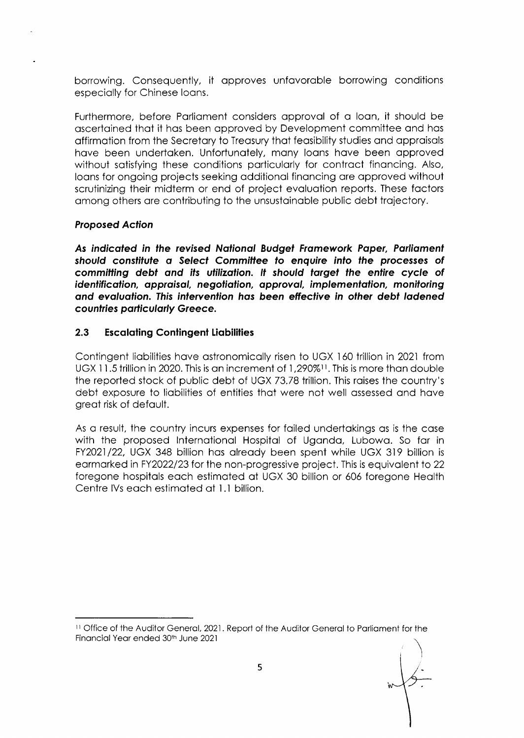borrowing. Consequently, it approves unfavorable borrowing conditions especially for Chinese Ioans.

Furthermore, before Parliament considers approval of a loan, it should be ascertained that it has been approved by Development committee and has affirmation from the Secretary to Treasury that feasibility studies and appraisals have been undertaken. Unfortunately, many loans have been approved without satisfying these conditions particularly for contract financing. Also, loans for ongoing projects seeking additional financing are approved without scrutinizing their midterm or end of project evaluation reports. These factors among others are contributing to the unsustainable public debt trajectory.

# **Proposed Action**

As indicated in the revised National Budget Framework Paper, Parliament should constitute a Select Committee to enquire into the processes of committing debt and its utilization. It should target the entire cycle of identification, appraisal, negotiation, approval, implementation, monitoring and evaluation. This intervention has been effective in other debt ladened countries particularly Greece.

#### $2.3$ **Escalating Contingent Liabilities**

Contingent liabilities have astronomically risen to UGX 160 trillion in 2021 from UGX 11.5 trillion in 2020. This is an increment of 1,290%<sup>11</sup>. This is more than double the reported stock of public debt of UGX 73.78 trillion. This raises the country's debt exposure to liabilities of entities that were not well assessed and have great risk of default.

As a result, the country incurs expenses for failed undertakings as is the case with the proposed International Hospital of Uganda, Lubowa, So far in FY2021/22, UGX 348 billion has already been spent while UGX 319 billion is earmarked in FY2022/23 for the non-progressive project. This is equivalent to 22 foregone hospitals each estimated at UGX 30 billion or 606 foregone Health Centre IVs each estimated at 1.1 billion.

<sup>&</sup>lt;sup>11</sup> Office of the Auditor General, 2021. Report of the Auditor General to Parliament for the Financial Year ended 30th June 2021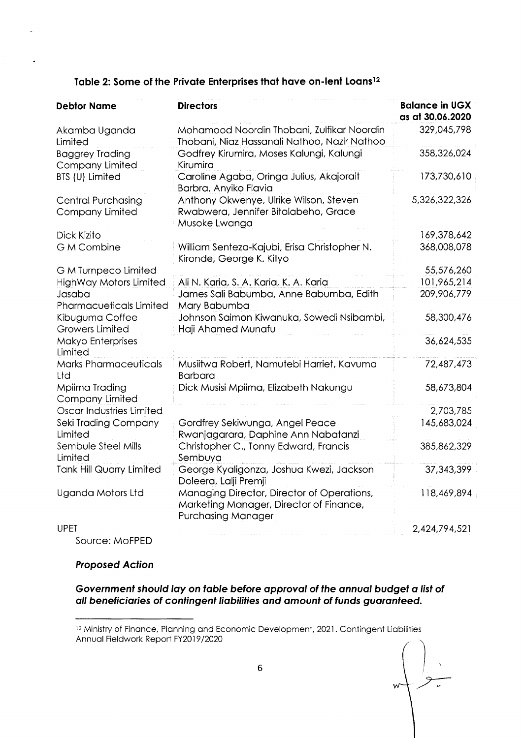| <b>Debtor Name</b>                                  | <b>Directors</b>                                                                                                   | <b>Balance in UGX</b><br>as at 30.06.2020 |
|-----------------------------------------------------|--------------------------------------------------------------------------------------------------------------------|-------------------------------------------|
| Akamba Uganda<br>Limited                            | Mohamood Noordin Thobani, Zulfikar Noordin<br>Thobani, Niaz Hassanali Nathoo, Nazir Nathoo                         | 329,045,798                               |
| <b>Baggrey Trading</b><br>Company Limited           | Godfrey Kirumira, Moses Kalungi, Kalungi<br>Kirumira                                                               | 358,326,024                               |
| BTS (U) Limited                                     | Caroline Agaba, Oringa Julius, Akajorait<br>Barbra, Anyiko Flavia                                                  | 173,730,610                               |
| <b>Central Purchasing</b><br><b>Company Limited</b> | Anthony Okwenye, Ulrike Wilson, Steven<br>Rwabwera, Jennifer Bitalabeho, Grace<br>Musoke Lwanga                    | 5,326,322,326                             |
| Dick Kizito                                         |                                                                                                                    | 169,378,642                               |
| <b>G M Combine</b>                                  | William Senteza-Kajubi, Erisa Christopher N.<br>Kironde, George K. Kityo                                           | 368,008,078                               |
| G M Turnpeco Limited                                |                                                                                                                    | 55,576,260                                |
| <b>HighWay Motors Limited</b>                       | Ali N. Karia, S. A. Karia, K. A. Karia                                                                             | 101,965,214                               |
| Jasaba<br><b>Pharmacueticals Limited</b>            | James Sali Babumba, Anne Babumba, Edith<br>Mary Babumba                                                            | 209,906,779                               |
| Kibuguma Coffee<br><b>Growers Limited</b>           | Johnson Saimon Kiwanuka, Sowedi Nsibambi,<br>Haji Ahamed Munafu                                                    | 58,300,476                                |
| Makyo Enterprises<br>Limited                        |                                                                                                                    | 36,624,535                                |
| <b>Marks Pharmaceuticals</b><br>Ltd                 | Musiitwa Robert, Namutebi Harriet, Kavuma<br><b>Barbara</b>                                                        | 72,487,473                                |
| Mpiima Trading<br><b>Company Limited</b>            | Dick Musisi Mpiima, Elizabeth Nakungu                                                                              | 58,673,804                                |
| Oscar Industries Limited                            |                                                                                                                    | 2,703,785                                 |
| Seki Trading Company<br>Limited                     | Gordfrey Sekiwunga, Angel Peace<br>Rwanjagarara, Daphine Ann Nabatanzi                                             | 145,683,024                               |
| Sembule Steel Mills<br>Limited                      | Christopher C., Tonny Edward, Francis<br>Sembuya                                                                   | 385,862,329                               |
| <b>Tank Hill Quarry Limited</b>                     | George Kyaligonza, Joshua Kwezi, Jackson<br>Doleera, Lalji Premji                                                  | 37, 343, 399                              |
| Uganda Motors Ltd                                   | Managing Director, Director of Operations,<br>Marketing Manager, Director of Finance,<br><b>Purchasing Manager</b> | 118,469,894                               |
| <b>UPET</b>                                         |                                                                                                                    | 2,424,794,521                             |
|                                                     |                                                                                                                    |                                           |

Source: MoFPED

# Proposed Action

# Government should lay on table before approval of the annual budget a list of all beneficiaries of contingent liabilities and amount of funds guaranteed.

 $\overline{z}$  $w$ 

<sup>&</sup>lt;sup>12</sup> Ministry of Finance, Planning and Economic Development, 2021. Contingent Liabilities Annuol Fieldwork Report FY2O19 /2020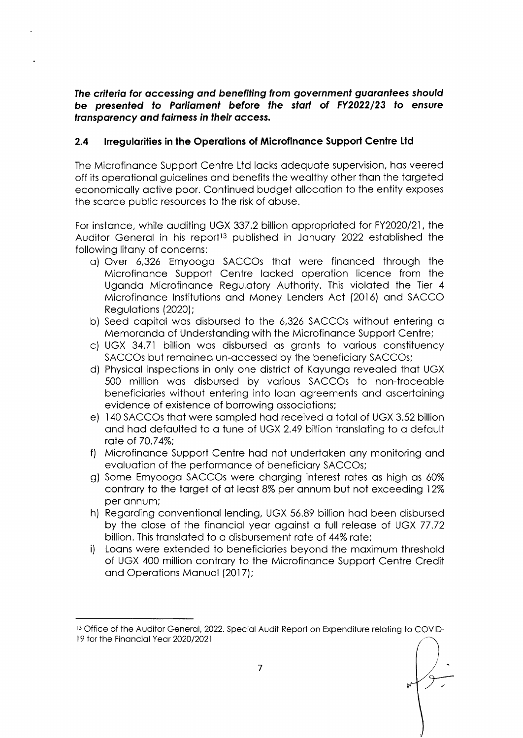The criteria for accessing and benefiting from government quarantees should be presented to Parliament before the start of FY2022/23 to ensure transparency and fairness in their access.

#### $2.4$ Irregularities in the Operations of Microfinance Support Centre Ltd

The Microfinance Support Centre Ltd lacks adequate supervision, has veered off its operational guidelines and benefits the wealthy other than the targeted economically active poor. Continued budget allocation to the entity exposes the scarce public resources to the risk of abuse.

For instance, while auditing UGX 337.2 billion appropriated for FY2020/21, the Auditor General in his report<sup>13</sup> published in January 2022 established the following litany of concerns:

- a) Over 6,326 Emyooga SACCOs that were financed through the Microfinance Support Centre lacked operation licence from the Uganda Microfinance Regulatory Authority. This violated the Tier 4 Microfinance Institutions and Money Lenders Act (2016) and SACCO Regulations (2020);
- b) Seed capital was disbursed to the 6,326 SACCOs without entering a Memoranda of Understanding with the Microfinance Support Centre;
- c) UGX 34.71 billion was disbursed as grants to various constituency SACCOs but remained un-accessed by the beneficiary SACCOs;
- d) Physical inspections in only one district of Kayunga revealed that UGX 500 million was disbursed by various SACCOs to non-traceable beneficiaries without entering into loan agreements and ascertaining evidence of existence of borrowing associations;
- e) 140 SACCOs that were sampled had received a total of UGX 3.52 billion and had defaulted to a tune of UGX 2.49 billion translating to a default rate of 70.74%:
- f) Microfinance Support Centre had not undertaken any monitoring and evaluation of the performance of beneficiary SACCOs;
- g) Some Emyooga SACCOs were charging interest rates as high as 60% contrary to the target of at least 8% per annum but not exceeding 12% per annum;
- h) Regarding conventional lending, UGX 56.89 billion had been disbursed by the close of the financial year against a full release of UGX 77.72 billion. This translated to a disbursement rate of 44% rate;
- i). Loans were extended to beneficiaries beyond the maximum threshold of UGX 400 million contrary to the Microfinance Support Centre Credit and Operations Manual (2017);

<sup>&</sup>lt;sup>13</sup> Office of the Auditor General, 2022. Special Audit Report on Expenditure relating to COVID-19 for the Financial Year 2020/2021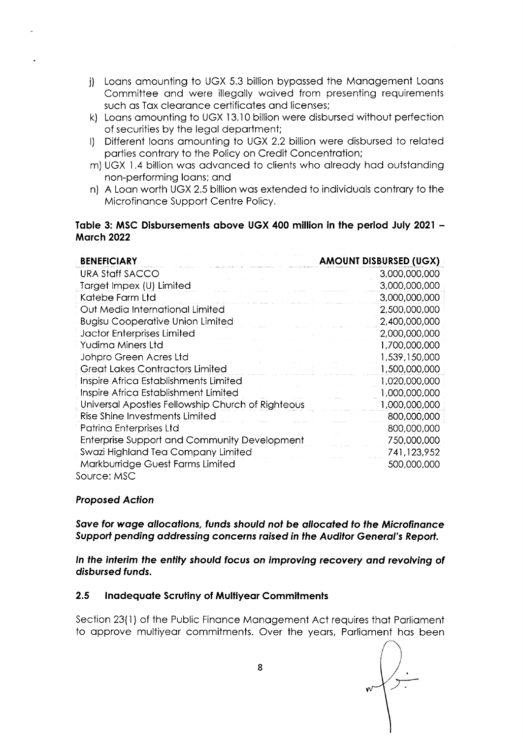- j) Loans amounting to UGX 5.3 billion bypassed the Management Loans Committee and were illegally waived from presenting requirements such as Tax clearance certificates and licenses;
- k) Loans amounting to UGX 13.10 billion were disbursed without perfection of securities by the legal department;
- I) Different loans amounting to UGX 2.2 billion were disbursed to related parties contrary to the Policy on Credit Concentration;
- m) UGX 1.4 billion was advanced to clients who already had outstanding non-performing loans; and
- n) A Loan worth UGX 2.5 billion was extended to individuals contrary to the Microfinance Support Centre Policy.

## Table 3: MSC Disbursements above UGX 400 million in the period July 2021 -**March 2022**

| <b>BENEFICIARY</b>                                  | <b>AMOUNT DISBURSED (UGX)</b> |
|-----------------------------------------------------|-------------------------------|
| URA Staff SACCO                                     | 3,000,000,000                 |
| Target Impex (U) Limited                            | 3,000,000,000                 |
| Katebe Farm Ltd                                     | 3,000,000,000                 |
| Out Media International Limited                     | 2,500,000,000                 |
| <b>Bugisu Cooperative Union Limited</b>             | 2,400,000,000                 |
| Jactor Enterprises Limited                          | 2,000,000,000                 |
| Yudima Miners Ltd                                   | 1,700,000,000                 |
| Johpro Green Acres Ltd                              | 1,539,150,000                 |
| <b>Great Lakes Contractors Limited</b>              | 1,500,000,000                 |
| Inspire Africa Establishments Limited               | 1,020,000,000                 |
| Inspire Africa Establishment Limited                | 1,000,000,000                 |
| Universal Apostles Fellowship Church of Righteous   | 1,000,000,000                 |
| Rise Shine Investments Limited                      | 800,000,000                   |
| Patrina Enterprises Ltd                             | 800,000,000                   |
| <b>Enterprise Support and Community Development</b> | 750,000,000                   |
| Swazi Highland Tea Company Limited                  | 741,123,952                   |
| Markburridge Guest Farms Limited                    | 500,000,000                   |
| Source: MSC                                         |                               |

### **Proposed Action**

Save for wage allocations, funds should not be allocated to the Microfinance Support pending addressing concerns raised in the Auditor General's Report.

In the interim the entity should focus on improving recovery and revolving of disbursed funds.

#### $2.5$ **Inadequate Scrutiny of Multiyear Commitments**

Section 23(1) of the Public Finance Management Act requires that Parliament to approve multiyear commitments. Over the years, Parliament has been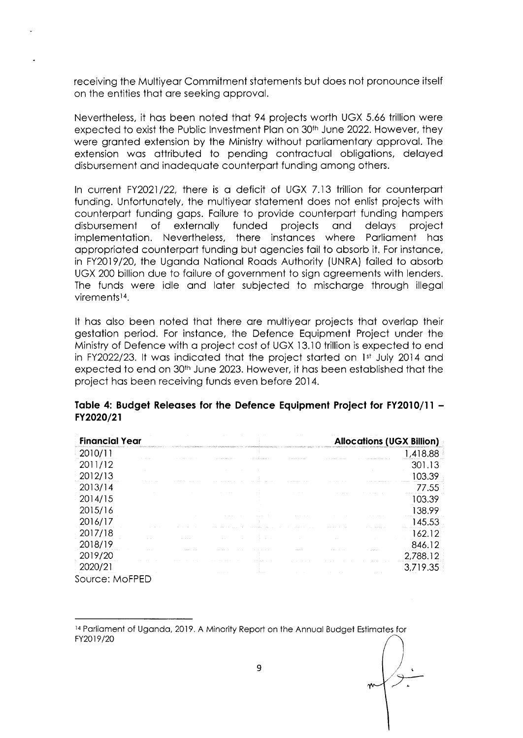receiving the Multiyear Commitment statements but does not pronounce itself on the entities that are seeking approval.

Nevertheless, it has been noted that 94 projects worth UGX 5.66 trillion were expected to exist the Public Investment Plan on 30<sup>th</sup> June 2022. However, they were granted extension by the Ministry without parliamentary approval. The extension was attributed to pending contractual obligations, delayed disbursement and inadequate counterpart funding among others.

In current FY2021/22, there is a deficit of UGX 7.13 trillion for counterpart funding. Unfortunately, the multiyear statement does not enlist projects with counterpart funding gaps. Failure to provide counterpart funding hampers disbursement of externally funded projects and delays project implementation. Nevertheless, there instances where Parliament has appropriated counterpart funding but agencies fail to absorb it. For instance, in FY2019/20, the Uganda National Roads Authority (UNRA) failed to absorb UGX 200 billion due to failure of government to sign agreements with lenders. The funds were idle and later subjected to mischarge through illegal virements<sup>14</sup>.

It has also been noted that there are multiyear projects that overlap their gestation period. For instance, the Defence Equipment Project under the Ministry of Defence with a project cost of UGX 13.10 trillion is expected to end in FY2022/23. It was indicated that the project started on 1st July 2014 and expected to end on 30<sup>th</sup> June 2023. However, it has been established that the project has been receiving funds even before 2014.

| <b>Financial Year</b> |                                                                                                                    |  |                                                                                                                                                                                                                                |  | <b>Allocations (UGX Billion)</b> |
|-----------------------|--------------------------------------------------------------------------------------------------------------------|--|--------------------------------------------------------------------------------------------------------------------------------------------------------------------------------------------------------------------------------|--|----------------------------------|
| 2010/11               | , 2010 bizka ildən kalmanı kalmanı (ö. 1969) (ö. 1969) olunda baş almanı (ö. 1970) olan kalmanı baş almanı kalmanı |  | commentation of the four seconds a local control of the context of the context of the context of the context of the context of the context of the context of the context of the context of the context of the context of the c |  | 1,418.88                         |
| 2011/12               |                                                                                                                    |  |                                                                                                                                                                                                                                |  | 301.13                           |
| 2012/13               |                                                                                                                    |  |                                                                                                                                                                                                                                |  | 103.39                           |
| 2013/14               |                                                                                                                    |  |                                                                                                                                                                                                                                |  | 77.55                            |
| 2014/15               |                                                                                                                    |  |                                                                                                                                                                                                                                |  | 103.39                           |
| 2015/16               |                                                                                                                    |  |                                                                                                                                                                                                                                |  | 138.99                           |
| 2016/17               |                                                                                                                    |  |                                                                                                                                                                                                                                |  | 145.53                           |
| 2017/18               |                                                                                                                    |  |                                                                                                                                                                                                                                |  | 162.12                           |
| 2018/19               |                                                                                                                    |  |                                                                                                                                                                                                                                |  | 846.12                           |
| 2019/20               |                                                                                                                    |  |                                                                                                                                                                                                                                |  | 2,788.12                         |
| 2020/21               |                                                                                                                    |  |                                                                                                                                                                                                                                |  | 3,719.35                         |
| Source: MoFPED        |                                                                                                                    |  |                                                                                                                                                                                                                                |  |                                  |

### Table 4: Budget Releases for the Defence Equipment Project for FY2010/11 -FY2020/21

<sup>14</sup> Parliament of Uganda, 2019. A Minority Report on the Annual Budget Estimates for FY2019/20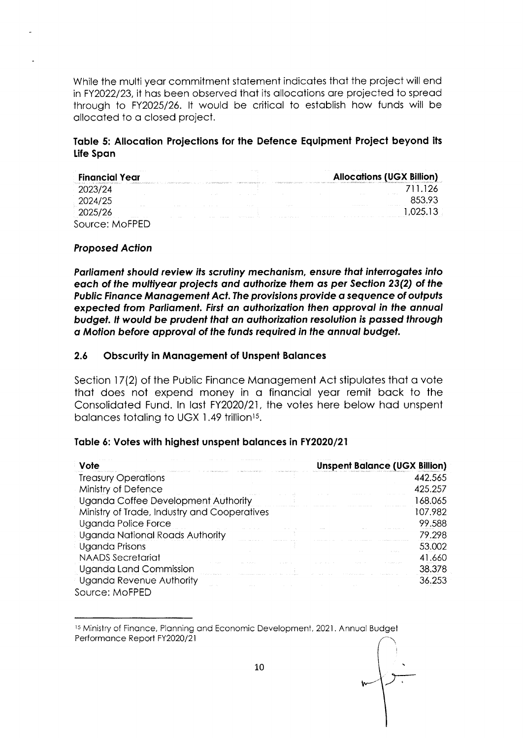While the multi year commitment statement indicates that the project will end in FY2022/23, it has been observed that its allocations are projected to spread through to FY2025/26. It would be critical to establish how funds will be allocated to a closed project.

### Table 5: Allocation Projections for the Defence Equipment Project beyond its Life Span

| <b>ALC: YES</b><br><b>Financial Year</b> | <b>ALC: YES</b>                     |                                                                                             |                                      | And States<br>$\sim$<br><b>Contract</b> |                                          | <b>100 100 100 mm</b>                  |                | The company of the company<br><b>Allocations (UGX Billion)</b>                                                                                                                                                                 |
|------------------------------------------|-------------------------------------|---------------------------------------------------------------------------------------------|--------------------------------------|-----------------------------------------|------------------------------------------|----------------------------------------|----------------|--------------------------------------------------------------------------------------------------------------------------------------------------------------------------------------------------------------------------------|
|                                          |                                     | considerable increases to a control of control to service providers to a control control of |                                      |                                         |                                          |                                        |                | CONSIDERATION OF A COLORADO CONTRACTOR CONTRACTOR AND CONSIDERATION CONTRACTOR CONTRACTOR CONTRACTOR OF A SECURITY OF A SECURITY OF A SECURITY OF A SECURITY OF A SECURITY OF A SECURITY OF A SECURITY OF A SECURITY OF A SECU |
|                                          |                                     |                                                                                             |                                      |                                         |                                          |                                        | <b>Service</b> | the company of the company of<br>The contract of the                                                                                                                                                                           |
| .                                        | <b>Contractor</b>                   |                                                                                             | .                                    | the state of the                        | the property of the top                  |                                        | .              | The Sales of the Control of<br>the company of the company of the company of the company of the company of the company of the com-                                                                                              |
| The State of<br>.<br>.                   | the form of the control of the con- | the contract of the con-                                                                    | the state of the state and the state | the company of the company of the       | the contract of the contract of the con- | <b>Contract Contract Contract</b><br>. |                |                                                                                                                                                                                                                                |

#### **Proposed Action**

Parliament should review its scrutiny mechanism, ensure that interrogates into each of the multiyear projects and authorize them as per Section 23(2) of the Public Finance Management Act. The provisions provide a sequence of outputs expected from Parliament. First an authorization then approval in the annual budget. It would be prudent that an authorization resolution is passed through a Motion before approval of the funds required in the annual budget.

#### $2.6$ **Obscurity in Management of Unspent Balances**

Section 17(2) of the Public Finance Management Act stipulates that a vote that does not expend money in a financial year remit back to the Consolidated Fund. In last FY2020/21, the votes here below had unspent balances totaling to UGX 1.49 trillion<sup>15</sup>.

### Table 6: Votes with highest unspent balances in FY2020/21

| Vote                                         |  |  | <b>Unspent Balance (UGX Billion)</b> |
|----------------------------------------------|--|--|--------------------------------------|
| <b>Treasury Operations</b>                   |  |  | 442.565                              |
| Ministry of Defence                          |  |  | 425.257                              |
| Uganda Coffee Development Authority          |  |  | 168.065                              |
| Ministry of Trade, Industry and Cooperatives |  |  | 107.982                              |
| Uganda Police Force                          |  |  | 99.588                               |
| Uganda National Roads Authority              |  |  | 79.298                               |
| Uganda Prisons                               |  |  | 53.002                               |
| <b>NAADS</b> Secretariat                     |  |  | 41.660                               |
| Uganda Land Commission                       |  |  | 38.378                               |
| Uganda Revenue Authority                     |  |  | 36.253                               |
| Source: MoFPED                               |  |  |                                      |

<sup>15</sup> Ministry of Finance, Planning and Economic Development, 2021. Annual Budget Performance Report FY2020/21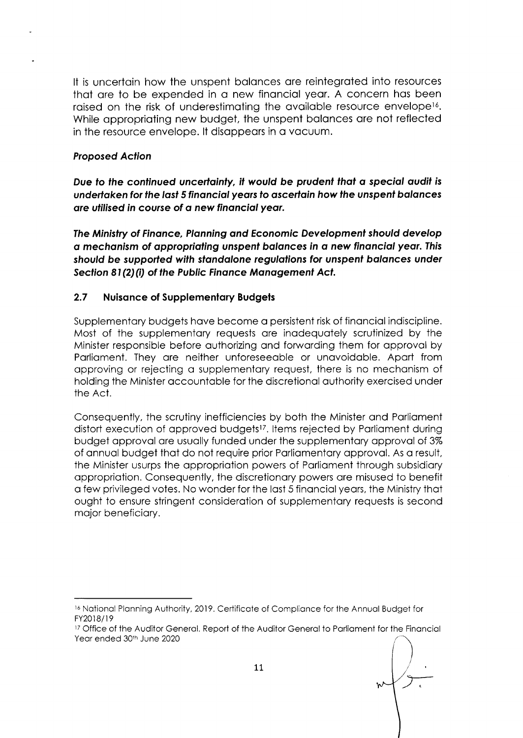It is uncertain how the unspent balances are reintegrated into resources that are to be expended in a new financial year. A concern has been raised on the risk of underestimating the available resource envelope<sup>16</sup>. While appropriating new budget, the unspent balances are not reflected in the resource envelope. It disappears in a vacuum.

# Proposed Action

Due fo lhe continued uncertointy, il would be prudent thot o speciol oudif is undertaken for the last 5 financial years to ascertain how the unspent balances are utilised in course of a new financial year.

The Ministry of Finonce, Plonning ond Economic Development should develop o mechonism of oppropriofing unspent bolonces in o new finonciol yeor.This should be supported with standalone regulations for unspent balances under Section 81(2)(i) of the Public Finance Management Act.

# 2.7 Nuisance of Supplementary Budgets

Supplementary budgets have become a persistent risk of financial indiscipline. Most of the supplementory requests ore inodequotely scrutinized by the Minister responsible before outhorizing ond forwording them for opprovol by Porlioment. They ore neither unforeseeoble or unovoidoble. Aport from opproving or rejecting o supplementory request, there is no mechonism of holding the Minister occountoble for the discretionol outhority exercised under the Act.

Consequently, the scrutiny inefficiencies by both the Minister ond Porlioment distort execution of approved budgets<sup>17</sup>. Items rejected by Parliament during budget approval are usually funded under the supplementary approval of 3% of annual budget that do not require prior Parliamentary approval. As a result, the Minister usurps the appropriation powers of Parliament through subsidiary oppropriotion. Consequently, the discreiionory powers ore misused to benefit o few privileged votes. No wonder for the lost 5 finonciol yeors, the Ministry thot ought to ensure stringent consideration of supplementary requests is second mojor beneficiory.

<sup>&</sup>lt;sup>16</sup> National Planning Authority, 2019. Certificate of Compliance for the Annual Budget for FY2018/19

<sup>&</sup>lt;sup>17</sup> Office of the Auditor General. Report of the Auditor General to Parliament for the Financial Year ended 30th June 2020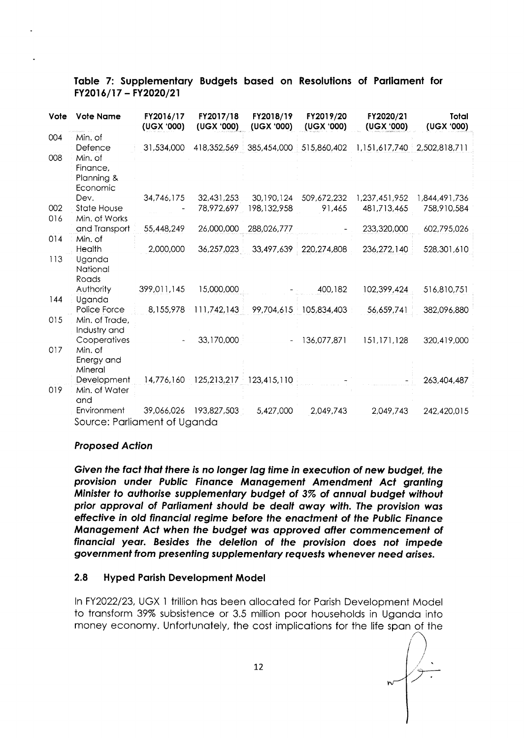| <b>Vote</b> | <b>Vote Name</b>             | FY2016/17<br>(UGX '000) | FY2017/18<br>(UGX '000) | FY2018/19<br>(UGX '000) | FY2019/20<br>(UGX '000) | FY2020/21<br>(UGX '000) | Total<br>(UGX '000)                 |
|-------------|------------------------------|-------------------------|-------------------------|-------------------------|-------------------------|-------------------------|-------------------------------------|
| 004         | Min. of                      |                         |                         |                         |                         |                         |                                     |
|             | Defence                      | 31,534,000              | 418,352,569             | 385,454,000             | 515,860,402             |                         | 1, 151, 617, 740   2, 502, 818, 711 |
| 008         | Min. of                      |                         |                         |                         |                         |                         |                                     |
|             | Finance,                     |                         |                         |                         |                         |                         |                                     |
|             | Planning &<br>Economic       |                         |                         |                         |                         |                         |                                     |
|             | Dev.                         | 34,746,175              | 32,431,253              | 30,190,124              | 509,672,232             | 1,237,451,952           | 1,844,491,736                       |
| 002         | <b>State House</b>           |                         | 78,972,697              | 198,132,958             | 91,465                  | 481,713,465             | 758,910,584                         |
| 016         | Min. of Works                |                         |                         |                         |                         |                         |                                     |
|             | and Transport                | 55,448,249              | 26,000,000              | 288,026,777             |                         | 233,320,000             | 602,795,026                         |
| 014         | Min. of                      |                         |                         |                         |                         |                         |                                     |
|             | Health                       | 2,000,000               | 36,257,023              | 33,497,639              | 220, 274, 808           | 236,272,140             | 528,301,610                         |
| 113         | Uganda                       |                         |                         |                         |                         |                         |                                     |
|             | National                     |                         |                         |                         |                         |                         |                                     |
|             | Roads<br>Authority           | 399,011,145             | 15,000,000              |                         | 400,182                 | 102,399,424             | 516,810,751                         |
| 144         | Uganda                       |                         |                         |                         |                         |                         |                                     |
|             | Police Force                 | 8,155,978               | 111,742,143             | 99,704,615              | 105,834,403             | 56,659,741              | 382,096,880                         |
| 015         | Min. of Trade,               |                         |                         |                         |                         |                         |                                     |
|             | Industry and                 |                         |                         |                         |                         |                         |                                     |
|             | Cooperatives                 |                         | 33,170,000              |                         | 136,077,871             | 151,171,128             | 320,419,000                         |
| 017         | Min. of                      |                         |                         |                         |                         |                         |                                     |
|             | Energy and                   |                         |                         |                         |                         |                         |                                     |
|             | Mineral<br>Development       | 14,776,160              |                         | 125,213,217 123,415,110 |                         |                         |                                     |
| 019         | Min. of Water                |                         |                         |                         |                         |                         | 263,404,487                         |
|             | and                          |                         |                         |                         |                         |                         |                                     |
|             | Environment                  | 39,066,026              | 193,827,503             | 5,427,000               | 2,049,743               | 2,049,743               | 242,420,015                         |
|             | Source: Parliament of Uganda |                         |                         |                         |                         |                         |                                     |

# Table 7: Supplementary Budgets based on Resolutions of Parliament for FY2016/17 - FY2020/21

### **Proposed Action**

Given the fact that there is no longer lag time in execution of new budget, the provision under Public Finance Management Amendment Act granting Minister to authorise supplementary budget of 3% of annual budget without prior approval of Parliament should be dealt away with. The provision was effective in old financial regime before the enactment of the Public Finance Management Act when the budget was approved after commencement of financial year. Besides the deletion of the provision does not impede government from presenting supplementary requests whenever need arises.

#### $2.8$ **Hyped Parish Development Model**

In FY2022/23, UGX 1 trillion has been allocated for Parish Development Model to transform 39% subsistence or 3.5 million poor households in Uganda into money economy. Unfortunately, the cost implications for the life span of the

 $\sqrt{2\cdot}$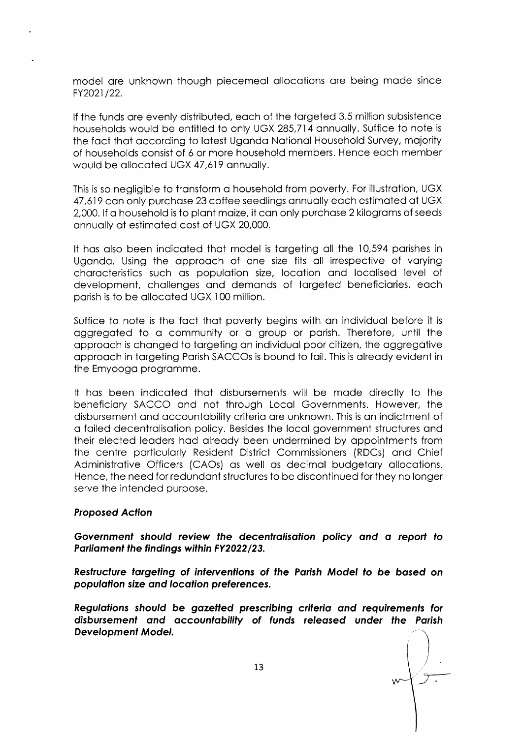model ore unknown though piecemeol ollocotions ore being mode since FY202t /22.

lf the funds ore evenly distributed, eoch of the torgeted 3.5 million subsistence households would be entitled to only UGX 285,714 onnuolly. Suffice to note is the fact that according to latest Uganda National Household Survey, majority of households consist of 6 or more household members. Hence eoch member would be ollocoted UGX 47,619 onnuolly.

This is so negligible to transform a household from poverty. For illustration, UGX 47,619 can only purchase 23 coffee seedlings annually each estimated at UGX 2,000. If a household is to plant maize, it can only purchase 2 kilograms of seeds onnuolly qt estimoted cost of UGX 20,000.

It hos olso been indicoted thot model is torgeting oll the 10,594 porishes in Uganda. Using the approach of one size fits all irrespective of varying chorocteristics such os populotion size, locotion ond locolised level of development, challenges and demands of targeted beneficiaries, each porish is to be ollocoted UGX 100 million.

Suffice to note is the foct thot poverty begins with on individuol before it is oggregoted to o community or o group or porish. Therefore, until the opprooch is chonged to torgeting on individuql poor citizen, the oggregotive opprooch in torgeting Porish SACCOs is bound to foil. This is olreody evident in the Emyoogo progromme.

It hos been indicoted thot disbursements will be mode directly to the beneficiory SACCO ond not through Locol Governments. However, the disbursement ond occountobility criterio ore unknown. This is on indictment of o foiled decentrolisotion policy. Besides the locol government structures ond their elected leoders hod olreody been undermined by oppointments from the centre porticulorly Resident District Commissioners (RDCs) ond Chief Administrotive Officers (CAOs) os well os decimol budgetory ollocotions. Hence, the need for redundont structures to be discontinued for they no longer serve the intended purpose.

#### Proposed Action

Government should review the decentralisation policy and a report to Parliament the findings within FY2022/23.

Restructure targeting of interventions of the Parish Model to be based on population size and location preferences.

Regulofions should be gozetted prescribing crilerio ond requiremenfs for disbursement and accountability of funds released under the Parish Developmenf Model.

 $\sqrt{\overline{}}$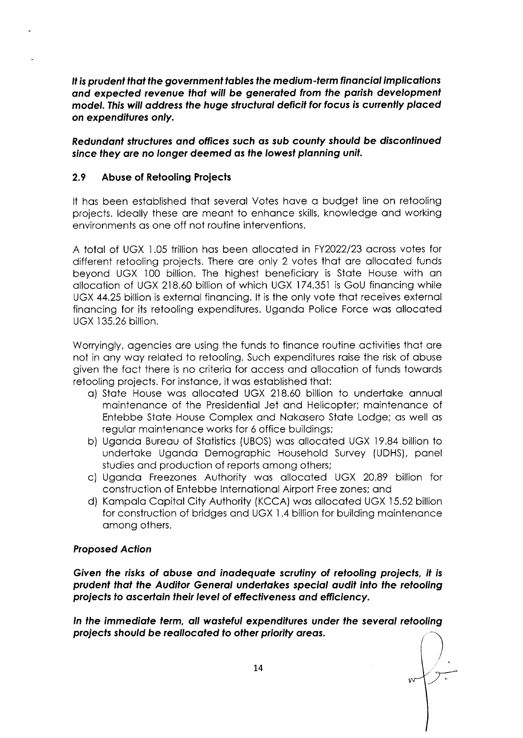It is prudent that the government tables the medium-term financial implications ond expecfed reyenue fhof will be generofed from the porish developmenf model. This will address the huge structural deficit for focus is currently placed on expenditures only.

Redundant structures and offices such as sub county should be discontinued since they are no longer deemed as the lowest planning unit.

# 2.9 Abuse of Retooling Projects

It hos been estoblished thot severol Votes hove o budget line on retooling projects. ldeolly these ore meont to enhonce skills, knowledge ond working environments os one off not routine interventions.

A totol of UGX LO5 trillion hos been ollocoted in FY2022/23 qcross votes for different retooling projects. There ore only 2 votes thot ore ollocoted funds beyond UGX 100 billion. The highest beneficiary is State House with an ollocotion of UGX 218.60 billion of which UGX 174.351 is GoU finoncing while UGX 44.25 billion is externol finoncing. lt is the only vote thot receives externol financing for its retooling expenditures. Uganda Police Force was allocated UGX 135.26 billion.

Worryingly, agencies are using the funds to finance routine activities that are not in any way related to retooling. Such expenditures raise the risk of abuse given the foct there is no criterio for occess ond qllocotion of funds towords retooling projects. For instonce, it wos estoblished thot:

- o) Stote House wos ollocoted UGX 218.60 billion to undertoke onnuol maintenance of the Presidential Jet and Helicopter; maintenance of Entebbe Stote House Complex ond Nokosero Stote Lodge; os well os regulor mointenonce works for 6 office buildings;
- b) Ugondo Bureou of Stotistics (UBOS) wos ollocoted UGX 19.84 billion to underioke Ugondo Demogrophic Household Survey (UDHS), ponel studies and production of reports among others;
- c) Ugondo Freezones Authority wos ollocoted UGX 20.89 billion for construction of Entebbe lnternotionol Airport Free zones; ond
- d) Kompolo Copitol City Authority (KCCA) wos ollocoted UGX 15.52 billion for construction of bridges and UGX 1.4 billion for building maintenance among others.

### Proposed Action

Given the risks of abuse and inadequate scrutiny of retooling projects, it is prudent that the Auditor General undertakes special audit into the retooling projects to ascertain their level of effectiveness and efficiency.

ln the immediote ferm, oll wosfeful expendifures under the seyerol relooling projects should be reallocated to other priority areas.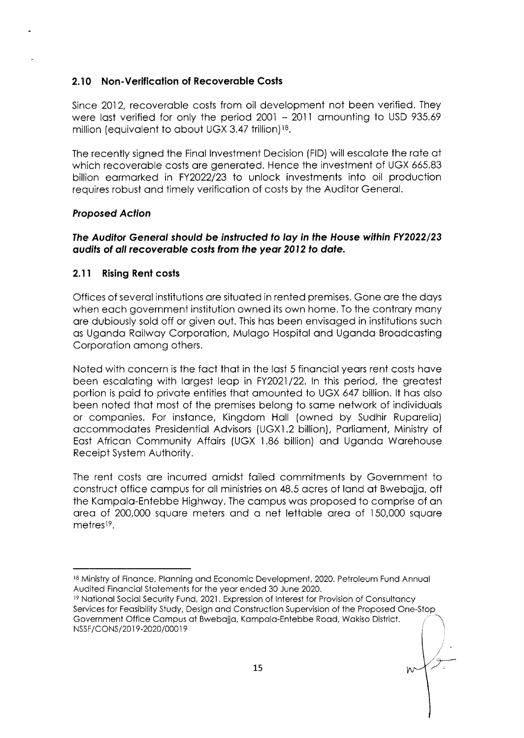# 2.10 Non-Verification of Recoverable Costs

Since 2012, recoverable costs from oil development not been verified. They were last verified for only the period 2001 - 2011 amounting to USD 935.69 million (equivalent to about UGX 3.47 trillion)<sup>18</sup>.

The recently signed the Final Investment Decision (FID) will escalate the rate at which recoverable costs are generated. Hence the investment of UGX 665.83 billion earmarked in FY2022/23 to unlock investments into oil production requires robust and timely verification of costs by the Auditor General.

### **Proposed Action**

### The Auditor General should be instructed to lay in the House within FY2022/23 audits of all recoverable costs from the year 2012 to date.

#### $2.11$ **Rising Rent costs**

Offices of several institutions are situated in rented premises. Gone are the days when each government institution owned its own home. To the contrary many are dubiously sold off or given out. This has been envisaged in institutions such as Uganda Railway Corporation, Mulago Hospital and Uganda Broadcasting Corporation among others.

Noted with concern is the fact that in the last 5 financial years rent costs have been escalating with largest leap in FY2021/22. In this period, the greatest portion is paid to private entities that amounted to UGX 647 billion. It has also been noted that most of the premises belong to same network of individuals or companies. For instance, Kingdom Hall (owned by Sudhir Ruparelia) accommodates Presidential Advisors (UGX1.2 billion), Parliament, Ministry of East African Community Affairs (UGX 1.86 billion) and Uganda Warehouse Receipt System Authority.

The rent costs are incurred amidst failed commitments by Government to construct office campus for all ministries on 48.5 acres of land at Bwebajja, off the Kampala-Entebbe Highway. The campus was proposed to comprise of an area of 200,000 square meters and a net lettable area of 150,000 square metres<sup>19</sup>.

<sup>18</sup> Ministry of Finance, Planning and Economic Development, 2020. Petroleum Fund Annual Audited Financial Statements for the year ended 30 June 2020.

<sup>&</sup>lt;sup>19</sup> National Social Security Fund, 2021. Expression of Interest for Provision of Consultancy Services for Feasibility Study, Design and Construction Supervision of the Proposed One-Stop Government Office Campus at Bwebajja, Kampala-Entebbe Road, Wakiso District. NSSF/CONS/2019-2020/00019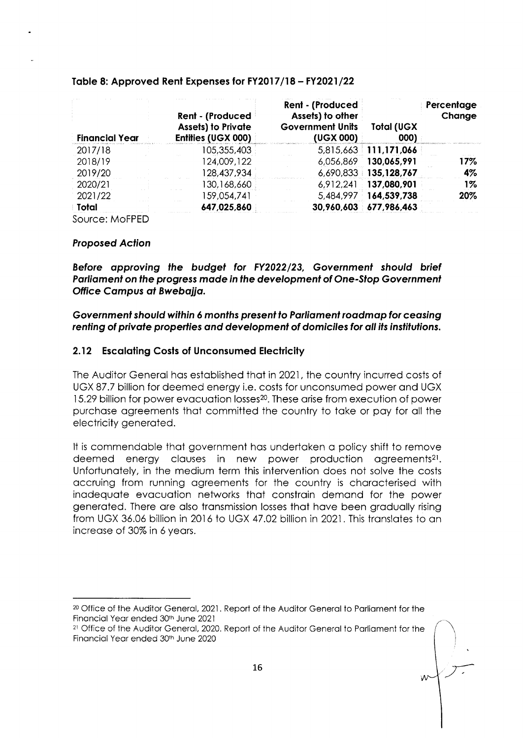| <b>Financial Year</b> | <b>Rent - (Produced</b><br><b>Assets) to Private</b><br>Entities (UGX 000) | <b>Rent - (Produced</b><br>Assets) to other<br><b>Government Units</b><br>(UGX 000) | <b>Total (UGX</b><br>000) | Percentage<br>Change |
|-----------------------|----------------------------------------------------------------------------|-------------------------------------------------------------------------------------|---------------------------|----------------------|
| 2017/18               | 105,355,403                                                                |                                                                                     | 5,815,663 111,171,066     |                      |
| 2018/19               | 124,009,122                                                                | 6,056,869                                                                           | 130,065,991               | 17%                  |
| 2019/20               | 128,437,934                                                                |                                                                                     | 6,690,833 135,128,767     | 4%                   |
| 2020/21               | 130,168,660                                                                |                                                                                     | 6,912,241 137,080,901     | $1\%$                |
| 2021/22               | 159,054,741                                                                |                                                                                     | 5,484,997 164,539,738     | 20%                  |
| Total                 | 647,025,860                                                                |                                                                                     | 30,960,603 677,986,463    |                      |

#### Table 8: Approved Rent Expenses for FY2017/18 - FY2021/22

Source: MoFPED

#### **Proposed Action**

Before approving the budget for FY2022/23, Government should brief Parliament on the progress made in the development of One-Stop Government Office Campus at Bwebajja.

# Government should within 6 months present to Parliament roadmap for ceasing renting of private properties and development of domiciles for all its institutions.

# 2.12 Escalating Costs of Unconsumed Electricity

The Auditor General has established that in 2021, the country incurred costs of UGX 87.7 billion for deemed energy i.e. costs for unconsumed power and UGX 15.29 billion for power evacuation losses<sup>20</sup>. These arise from execution of power purchase agreements that committed the country to take or pay for all the electricity generated.

It is commendable that government has undertaken a policy shift to remove deemed energy clauses in new power production agreements<sup>21</sup>. Unfortunately, in the medium term this intervention does not solve the costs accruing from running agreements for the country is characterised with inadequate evacuation networks that constrain demand for the power generated. There are also transmission losses that have been gradually rising from UGX 36.06 billion in 2016 to UGX 47.02 billion in 2021. This translates to an increase of 30% in 6 years.

<sup>&</sup>lt;sup>20</sup> Office of the Auditor General, 2021. Report of the Auditor General to Parliament for the Financial Year ended 30th June 2021

<sup>&</sup>lt;sup>21</sup> Office of the Auditor General, 2020. Report of the Auditor General to Parliament for the Financial Year ended 30th June 2020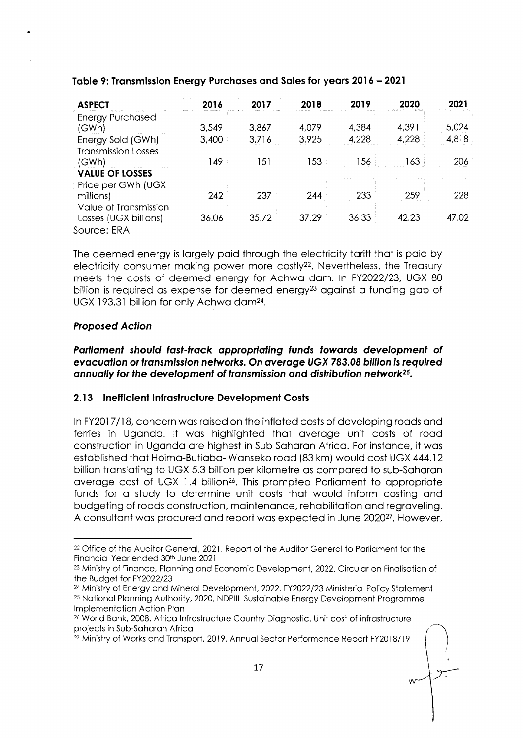| <b>ASPECT</b>              | 2016  | 2017           | 2018  | 2019  | 2020  | 2021  |
|----------------------------|-------|----------------|-------|-------|-------|-------|
| <b>Energy Purchased</b>    |       |                |       |       |       |       |
| (GWh)                      | 3,549 | 3,867          | 4,079 | 4,384 | 4,391 | 5,024 |
| Energy Sold (GWh)          | 3,400 | 3,716          | 3,925 | 4,228 | 4,228 | 4,818 |
| <b>Transmission Losses</b> |       |                |       |       |       |       |
| (GWh)                      | 49    | 5 <sub>1</sub> | 153   | 156   | 163   | 206   |
| <b>VALUE OF LOSSES</b>     |       |                |       |       |       |       |
| Price per GWh (UGX         |       |                |       |       |       |       |
| millions)                  | 242   | 237            | 244   | 233   | 259   | 228   |
| Value of Transmission      |       |                |       |       |       |       |
| Losses (UGX billions)      | 36.06 | 35.72          | 37.29 | 36.33 | 42.23 | 47.02 |
| Source: ERA                |       |                |       |       |       |       |

# Table 9: Transmission Energy Purchases and Sales for years 2016 - 2021

The deemed energy is largely paid through the electricity tariff that is paid by electricity consumer making power more costly<sup>22</sup>. Nevertheless, the Treasury meets the costs of deemed energy for Achwa dam. In FY2022/23, UGX 80 billion is required as expense for deemed energy<sup>23</sup> against a funding gap of UGX 193.31 billion for only Achwa dam<sup>24</sup>.

# **Proposed Action**

Parliament should fast-track appropriating funds towards development of evacuation or transmission networks. On average UGX 783.08 billion is required annually for the development of transmission and distribution network<sup>25</sup>.

# 2.13 Inefficient Infrastructure Development Costs

In FY2017/18, concern was raised on the inflated costs of developing roads and ferries in Uganda. It was highlighted that average unit costs of road construction in Uganda are highest in Sub Saharan Africa. For instance, it was established that Hoima-Butiaba-Wanseko road (83 km) would cost UGX 444.12 billion translating to UGX 5.3 billion per kilometre as compared to sub-Saharan average cost of UGX 1.4 billion<sup>26</sup>. This prompted Parliament to appropriate funds for a study to determine unit costs that would inform costing and budgeting of roads construction, maintenance, rehabilitation and regraveling. A consultant was procured and report was expected in June 2020<sup>27</sup>. However,

<sup>&</sup>lt;sup>22</sup> Office of the Auditor General, 2021. Report of the Auditor General to Parliament for the Financial Year ended 30th June 2021

<sup>&</sup>lt;sup>23</sup> Ministry of Finance, Planning and Economic Development, 2022. Circular on Finalisation of the Budget for FY2022/23

<sup>&</sup>lt;sup>24</sup> Ministry of Energy and Mineral Development, 2022, FY2022/23 Ministerial Policy Statement <sup>25</sup> National Planning Authority, 2020. NDPIII Sustainable Energy Development Programme Implementation Action Plan

<sup>&</sup>lt;sup>26</sup> World Bank, 2008. Africa Infrastructure Country Diagnostic. Unit cost of infrastructure projects in Sub-Saharan Africa

<sup>&</sup>lt;sup>27</sup> Ministry of Works and Transport, 2019. Annual Sector Performance Report FY2018/19